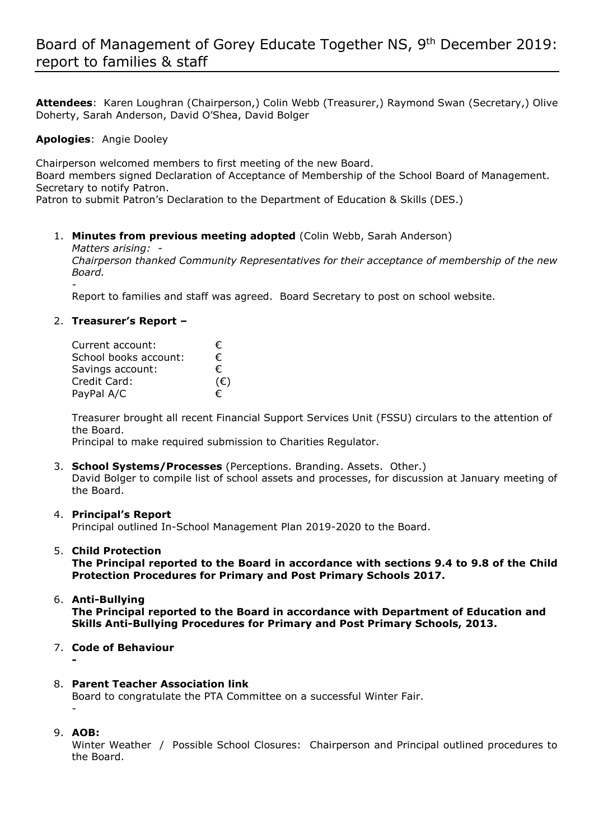**Attendees**: Karen Loughran (Chairperson,) Colin Webb (Treasurer,) Raymond Swan (Secretary,) Olive Doherty, Sarah Anderson, David O'Shea, David Bolger

# **Apologies**: Angie Dooley

Chairperson welcomed members to first meeting of the new Board. Board members signed Declaration of Acceptance of Membership of the School Board of Management. Secretary to notify Patron.

Patron to submit Patron's Declaration to the Department of Education & Skills (DES.)

## 1. **Minutes from previous meeting adopted** (Colin Webb, Sarah Anderson)

*Matters arising: -* 

*Chairperson thanked Community Representatives for their acceptance of membership of the new Board.*

*-* Report to families and staff was agreed. Board Secretary to post on school website.

## 2. **Treasurer's Report –**

| Current account:      | €            |
|-----------------------|--------------|
| School books account: | €            |
| Savings account:      | €            |
| Credit Card:          | $(\epsilon)$ |
| PayPal A/C            | €            |

Treasurer brought all recent Financial Support Services Unit (FSSU) circulars to the attention of the Board.

Principal to make required submission to Charities Regulator.

3. **School Systems/Processes** (Perceptions. Branding. Assets. Other.) David Bolger to compile list of school assets and processes, for discussion at January meeting of the Board.

### 4. **Principal's Report**

Principal outlined In-School Management Plan 2019-2020 to the Board.

### 5. **Child Protection**

**The Principal reported to the Board in accordance with sections 9.4 to 9.8 of the Child Protection Procedures for Primary and Post Primary Schools 2017.** 

- 6. **Anti-Bullying The Principal reported to the Board in accordance with Department of Education and Skills Anti-Bullying Procedures for Primary and Post Primary Schools, 2013.**
- 7. **Code of Behaviour**

**-**

### 8. **Parent Teacher Association link**

Board to congratulate the PTA Committee on a successful Winter Fair. -

9. **AOB:**

Winter Weather / Possible School Closures: Chairperson and Principal outlined procedures to the Board.